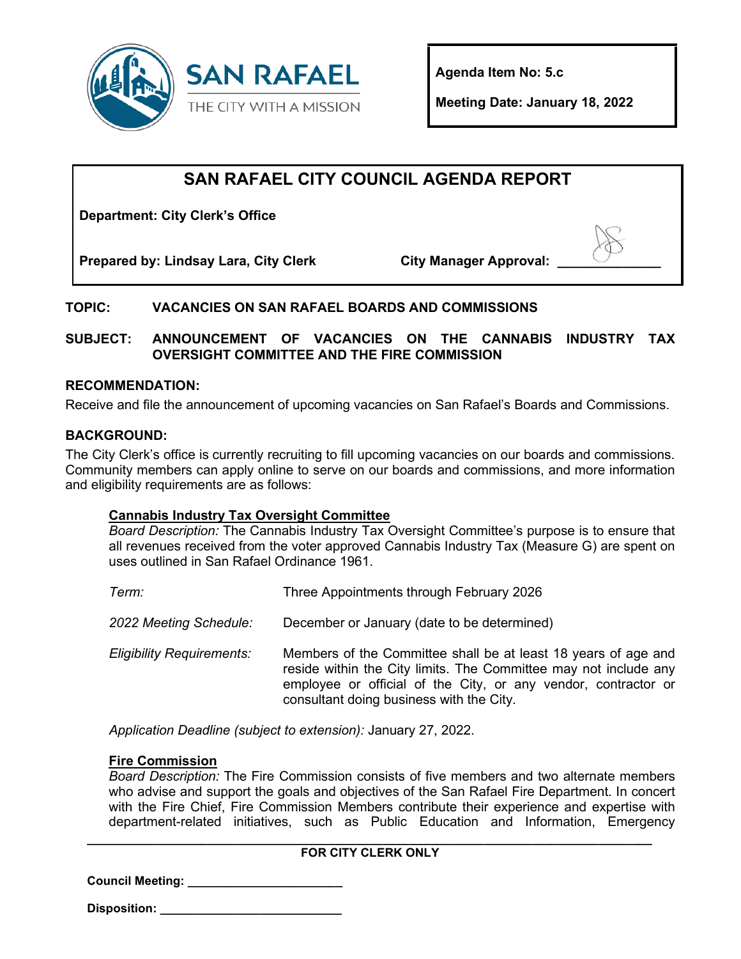

**Agenda Item No: 5.c** 

**Meeting Date: January 18, 2022** 

# **SAN RAFAEL CITY COUNCIL AGENDA REPORT**

**Department: City Clerk's Office**

**Prepared by: Lindsay Lara, City Clerk City Manager Approval: \_\_\_\_\_\_\_\_\_\_\_\_\_\_**

## **TOPIC: VACANCIES ON SAN RAFAEL BOARDS AND COMMISSIONS**

**SUBJECT: ANNOUNCEMENT OF VACANCIES ON THE CANNABIS INDUSTRY TAX OVERSIGHT COMMITTEE AND THE FIRE COMMISSION**

## **RECOMMENDATION:**

Receive and file the announcement of upcoming vacancies on San Rafael's Boards and Commissions.

## **BACKGROUND:**

The City Clerk's office is currently recruiting to fill upcoming vacancies on our boards and commissions. Community members can apply online to serve on our boards and commissions, and more information and eligibility requirements are as follows:

#### **Cannabis Industry Tax Oversight Committee**

*Board Description:* The Cannabis Industry Tax Oversight Committee's purpose is to ensure that all revenues received from the voter approved Cannabis Industry Tax (Measure G) are spent on uses outlined in San Rafael Ordinance 1961.

| Term:                            | Three Appointments through February 2026                                                                                                                                                                                                         |
|----------------------------------|--------------------------------------------------------------------------------------------------------------------------------------------------------------------------------------------------------------------------------------------------|
| 2022 Meeting Schedule:           | December or January (date to be determined)                                                                                                                                                                                                      |
| <b>Eligibility Requirements:</b> | Members of the Committee shall be at least 18 years of age and<br>reside within the City limits. The Committee may not include any<br>employee or official of the City, or any vendor, contractor or<br>consultant doing business with the City. |

*Application Deadline (subject to extension):* January 27, 2022.

#### **Fire Commission**

*Board Description:* The Fire Commission consists of five members and two alternate members who advise and support the goals and objectives of the San Rafael Fire Department. In concert with the Fire Chief, Fire Commission Members contribute their experience and expertise with department-related initiatives, such as Public Education and Information, Emergency

#### **\_\_\_\_\_\_\_\_\_\_\_\_\_\_\_\_\_\_\_\_\_\_\_\_\_\_\_\_\_\_\_\_\_\_\_\_\_\_\_\_\_\_\_\_\_\_\_\_\_\_\_\_\_\_\_\_\_\_\_\_\_\_\_\_\_\_\_\_\_\_\_\_\_\_\_\_\_\_\_\_\_\_\_\_ FOR CITY CLERK ONLY**

**Council Meeting: \_\_\_\_\_\_\_\_\_\_\_\_\_\_\_\_\_\_\_\_\_\_\_**

**Disposition: \_\_\_\_\_\_\_\_\_\_\_\_\_\_\_\_\_\_\_\_\_\_\_\_\_\_\_**